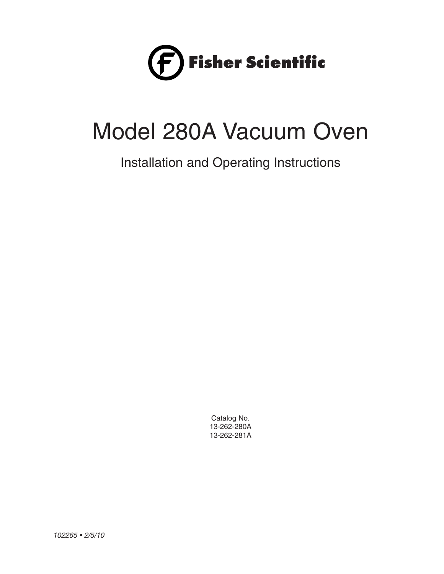

## Model 280A Vacuum Oven

### Installation and Operating Instructions

Catalog No. 13-262-280A 13-262-281A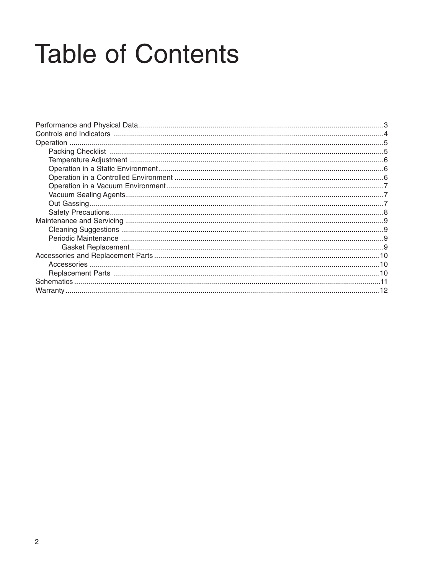# **Table of Contents**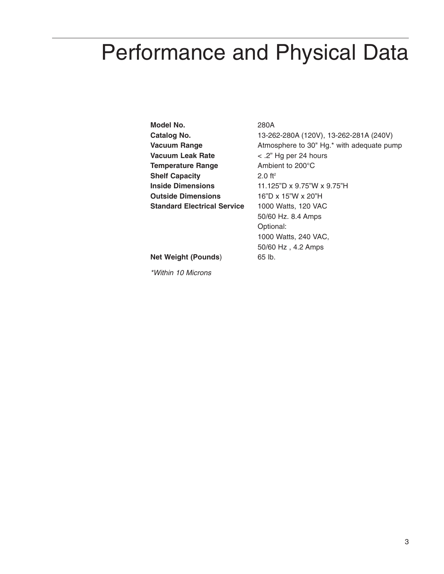### Performance and Physical Data

**Model No.** 280A **Vacuum Leak Rate** < .2" Hg per 24 hours **Temperature Range** Ambient to 200°C **Shelf Capacity Outside Dimensions** 16"D x 15"W x 20"H **Standard Electrical Service** 1000 Watts, 120 VAC

**Catalog No.** 13-262-280A (120V), 13-262-281A (240V) **Vacuum Range Atmosphere to 30" Hg.\*** with adequate pump  $2.0$  ft<sup>2</sup> **Inside Dimensions** 11.125"D x 9.75"W x 9.75"H 50/60 Hz. 8.4 Amps Optional: 1000 Watts, 240 VAC, 50/60 Hz , 4.2 Amps

**Net Weight (Pounds**) 65 lb.

*\*Within 10 Microns*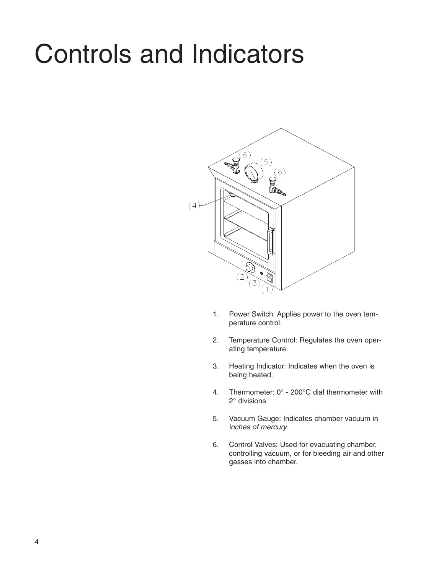## Controls and Indicators



- 1. Power Switch: Applies power to the oven temperature control.
- 2. Temperature Control: Regulates the oven operating temperature.
- 3. Heating Indicator: Indicates when the oven is being heated.
- 4. Thermometer: 0° 200°C dial thermometer with 2° divisions.
- 5. Vacuum Gauge: Indicates chamber vacuum in *inches of mercury.*
- 6. Control Valves: Used for evacuating chamber, controlling vacuum, or for bleeding air and other gasses into chamber.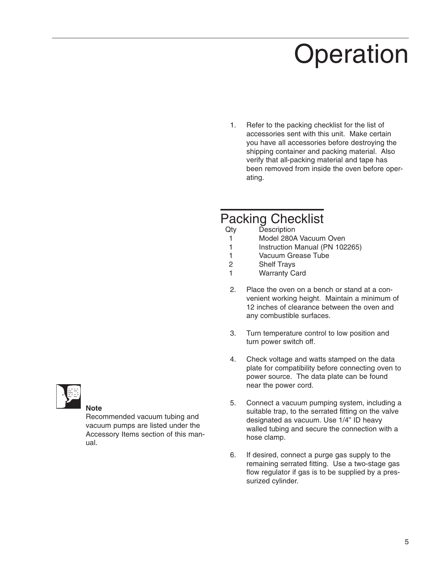# **Operation**

1. Refer to the packing checklist for the list of accessories sent with this unit. Make certain you have all accessories before destroying the shipping container and packing material. Also verify that all-packing material and tape has been removed from inside the oven before operating.

### Packing Checklist

- Description
- 1 Model 280A Vacuum Oven
- 1 Instruction Manual (PN 102265)<br>1 Vacuum Grease Tube
- Vacuum Grease Tube
- 2 Shelf Trays
- 1 Warranty Card
- 2. Place the oven on a bench or stand at a convenient working height. Maintain a minimum of 12 inches of clearance between the oven and any combustible surfaces.
- 3. Turn temperature control to low position and turn power switch off.
- 4. Check voltage and watts stamped on the data plate for compatibility before connecting oven to power source. The data plate can be found near the power cord.
- 5. Connect a vacuum pumping system, including a suitable trap, to the serrated fitting on the valve designated as vacuum. Use 1/4" ID heavy walled tubing and secure the connection with a hose clamp.
- 6. If desired, connect a purge gas supply to the remaining serrated fitting. Use a two-stage gas flow regulator if gas is to be supplied by a pressurized cylinder.



#### **Note**

Recommended vacuum tubing and vacuum pumps are listed under the Accessory Items section of this manual.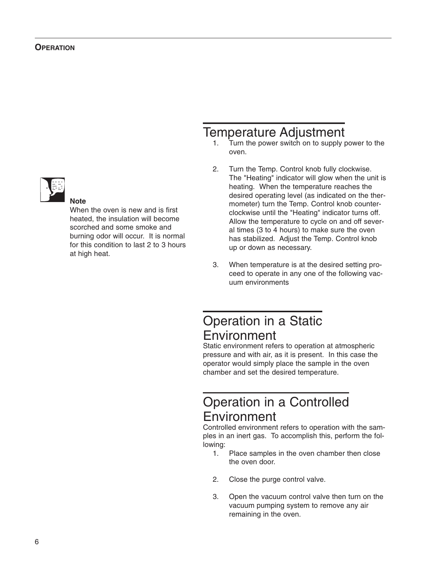

#### **Note**

When the oven is new and is first heated, the insulation will become scorched and some smoke and burning odor will occur. It is normal for this condition to last 2 to 3 hours at high heat.

#### Temperature Adjustment

- Turn the power switch on to supply power to the oven.
- 2. Turn the Temp. Control knob fully clockwise. The "Heating" indicator will glow when the unit is heating. When the temperature reaches the desired operating level (as indicated on the thermometer) turn the Temp. Control knob counterclockwise until the "Heating" indicator turns off. Allow the temperature to cycle on and off several times (3 to 4 hours) to make sure the oven has stabilized. Adjust the Temp. Control knob up or down as necessary.
- 3. When temperature is at the desired setting proceed to operate in any one of the following vacuum environments

#### Operation in a Static Environment

Static environment refers to operation at atmospheric pressure and with air, as it is present. In this case the operator would simply place the sample in the oven chamber and set the desired temperature.

### Operation in a Controlled Environment

Controlled environment refers to operation with the samples in an inert gas. To accomplish this, perform the following:

- 1. Place samples in the oven chamber then close the oven door.
- 2. Close the purge control valve.
- 3. Open the vacuum control valve then turn on the vacuum pumping system to remove any air remaining in the oven.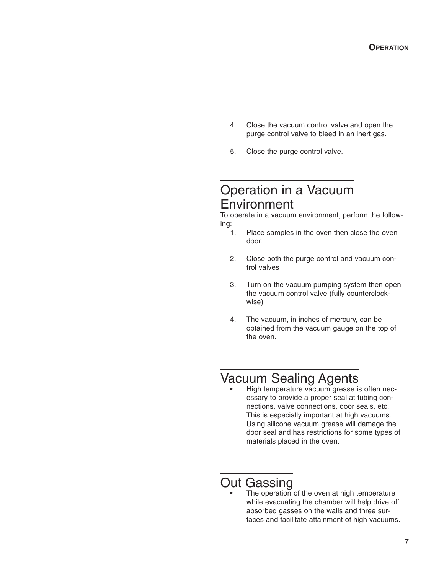- 4. Close the vacuum control valve and open the purge control valve to bleed in an inert gas.
- 5. Close the purge control valve.

#### Operation in a Vacuum Environment

To operate in a vacuum environment, perform the following:

- 1. Place samples in the oven then close the oven door.
- 2. Close both the purge control and vacuum control valves
- 3. Turn on the vacuum pumping system then open the vacuum control valve (fully counterclockwise)
- 4. The vacuum, in inches of mercury, can be obtained from the vacuum gauge on the top of the oven.

### Vacuum Sealing Agents

• High temperature vacuum grease is often necessary to provide a proper seal at tubing connections, valve connections, door seals, etc. This is especially important at high vacuums. Using silicone vacuum grease will damage the door seal and has restrictions for some types of materials placed in the oven.

### Out Gassing

The operation of the oven at high temperature while evacuating the chamber will help drive off absorbed gasses on the walls and three surfaces and facilitate attainment of high vacuums.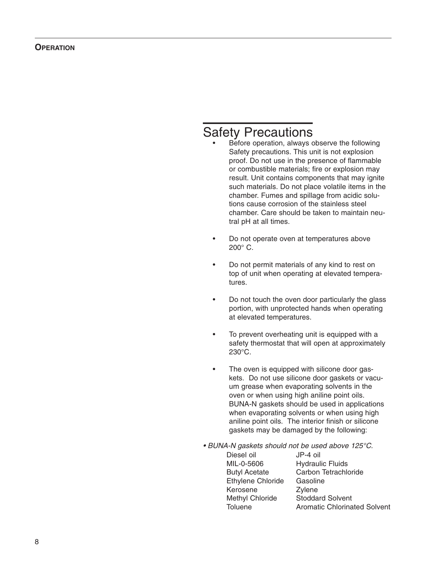#### Safety Precautions

- Before operation, always observe the following Safety precautions. This unit is not explosion proof. Do not use in the presence of flammable or combustible materials; fire or explosion may result. Unit contains components that may ignite such materials. Do not place volatile items in the chamber. Fumes and spillage from acidic solutions cause corrosion of the stainless steel chamber. Care should be taken to maintain neutral pH at all times.
- Do not operate oven at temperatures above  $200^\circ$  C.
- Do not permit materials of any kind to rest on top of unit when operating at elevated temperatures.
- Do not touch the oven door particularly the glass portion, with unprotected hands when operating at elevated temperatures.
- To prevent overheating unit is equipped with a safety thermostat that will open at approximately 230°C.
- The oven is equipped with silicone door gaskets. Do not use silicone door gaskets or vacuum grease when evaporating solvents in the oven or when using high aniline point oils. BUNA-N gaskets should be used in applications when evaporating solvents or when using high aniline point oils. The interior finish or silicone gaskets may be damaged by the following:
- *• BUNA-N gaskets should not be used above 125°C.*

| Diesel oil               | JP-4 oil                            |
|--------------------------|-------------------------------------|
| MIL-0-5606               | <b>Hydraulic Fluids</b>             |
| <b>Butyl Acetate</b>     | Carbon Tetrachloride                |
| <b>Ethylene Chloride</b> | Gasoline                            |
| Kerosene                 | Zylene                              |
| Methyl Chloride          | <b>Stoddard Solvent</b>             |
| Toluene                  | <b>Aromatic Chlorinated Solvent</b> |
|                          |                                     |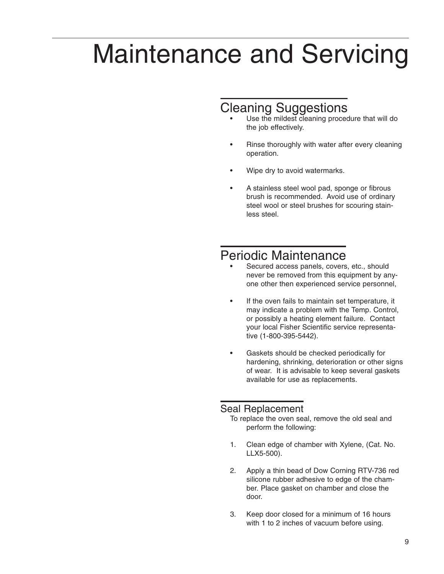## Maintenance and Servicing

#### Cleaning Suggestions

- Use the mildest cleaning procedure that will do the job effectively.
- Rinse thoroughly with water after every cleaning operation.
- Wipe dry to avoid watermarks.
- A stainless steel wool pad, sponge or fibrous brush is recommended. Avoid use of ordinary steel wool or steel brushes for scouring stainless steel.

#### Periodic Maintenance

- Secured access panels, covers, etc., should never be removed from this equipment by anyone other then experienced service personnel,
- If the oven fails to maintain set temperature, it may indicate a problem with the Temp. Control, or possibly a heating element failure. Contact your local Fisher Scientific service representative (1-800-395-5442).
- Gaskets should be checked periodically for hardening, shrinking, deterioration or other signs of wear. It is advisable to keep several gaskets available for use as replacements.

#### Seal Replacement

To replace the oven seal, remove the old seal and perform the following:

- 1. Clean edge of chamber with Xylene, (Cat. No. LLX5-500).
- 2. Apply a thin bead of Dow Corning RTV-736 red silicone rubber adhesive to edge of the chamber. Place gasket on chamber and close the door.
- 3. Keep door closed for a minimum of 16 hours with 1 to 2 inches of vacuum before using.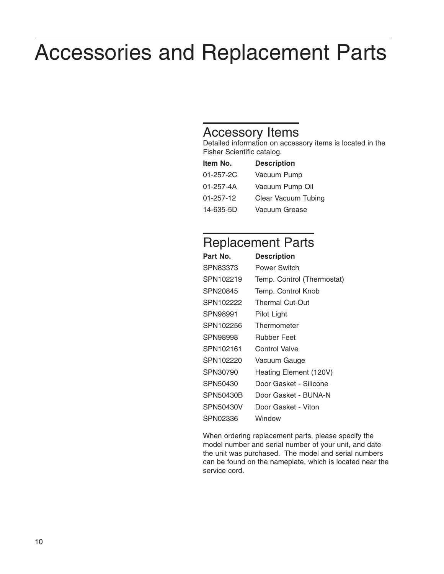## Accessories and Replacement Parts

#### Accessory Items

Detailed information on accessory items is located in the Fisher Scientific catalog.

| Item No.  | <b>Description</b>  |
|-----------|---------------------|
| 01-257-2C | Vacuum Pump         |
| 01-257-4A | Vacuum Pump Oil     |
| 01-257-12 | Clear Vacuum Tubing |
| 14-635-5D | Vacuum Grease       |

### Replacement Parts

| Part No.  | <b>Description</b>         |
|-----------|----------------------------|
| SPN83373  | Power Switch               |
| SPN102219 | Temp. Control (Thermostat) |
| SPN20845  | Temp. Control Knob         |
| SPN102222 | Thermal Cut-Out            |
| SPN98991  | Pilot Light                |
| SPN102256 | Thermometer                |
| SPN98998  | Rubber Feet                |
| SPN102161 | Control Valve              |
| SPN102220 | Vacuum Gauge               |
| SPN30790  | Heating Element (120V)     |
| SPN50430  | Door Gasket - Silicone     |
| SPN50430B | Door Gasket - BUNA-N       |
| SPN50430V | Door Gasket - Viton        |
| SPN02336  | Window                     |

When ordering replacement parts, please specify the model number and serial number of your unit, and date the unit was purchased. The model and serial numbers can be found on the nameplate, which is located near the service cord.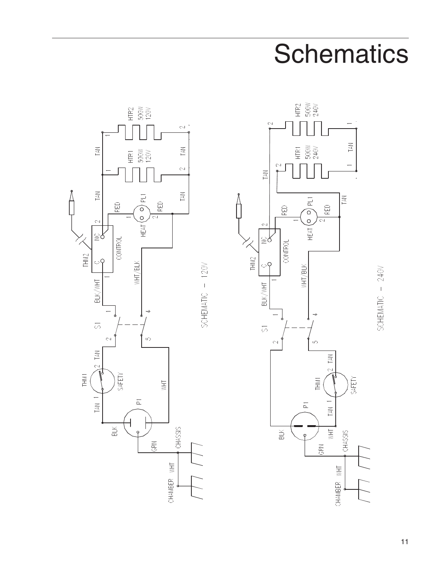# **Schematics**